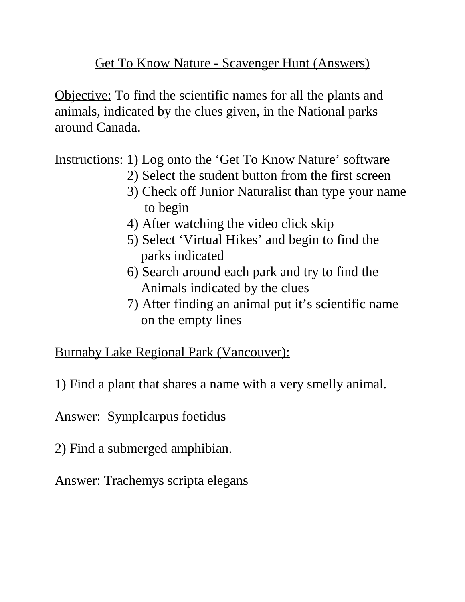Get To Know Nature - Scavenger Hunt (Answers)

Objective: To find the scientific names for all the plants and animals, indicated by the clues given, in the National parks around Canada.

Instructions: 1) Log onto the 'Get To Know Nature' software

- 2) Select the student button from the first screen
- 3) Check off Junior Naturalist than type your name to begin
- 4) After watching the video click skip
- 5) Select 'Virtual Hikes' and begin to find the parks indicated
- 6) Search around each park and try to find the Animals indicated by the clues
- 7) After finding an animal put it's scientific name on the empty lines

Burnaby Lake Regional Park (Vancouver):

1) Find a plant that shares a name with a very smelly animal.

Answer: Symplcarpus foetidus

2) Find a submerged amphibian.

Answer: Trachemys scripta elegans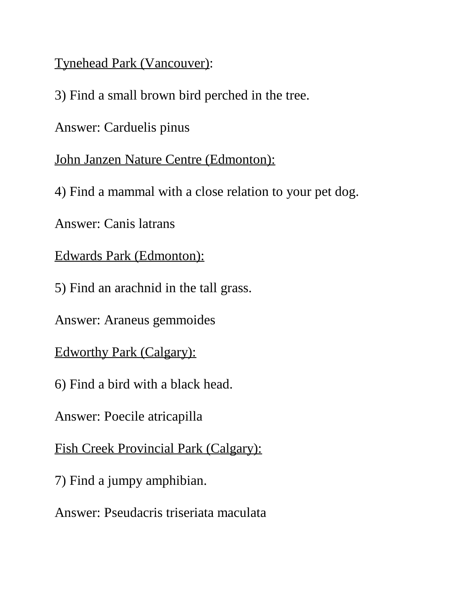Tynehead Park (Vancouver):

3) Find a small brown bird perched in the tree.

Answer: Carduelis pinus

John Janzen Nature Centre (Edmonton):

4) Find a mammal with a close relation to your pet dog.

Answer: Canis latrans

Edwards Park (Edmonton):

5) Find an arachnid in the tall grass.

Answer: Araneus gemmoides

Edworthy Park (Calgary):

6) Find a bird with a black head.

Answer: Poecile atricapilla

Fish Creek Provincial Park (Calgary):

7) Find a jumpy amphibian.

Answer: Pseudacris triseriata maculata